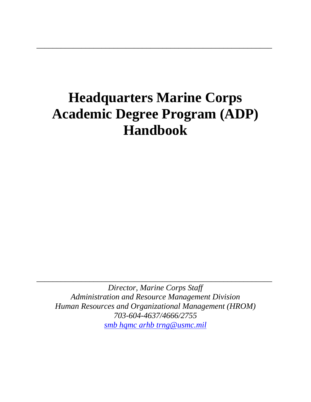# **Headquarters Marine Corps Academic Degree Program (ADP) Handbook**

\_\_\_\_\_\_\_\_\_\_\_\_\_\_\_\_\_\_\_\_\_\_\_\_\_\_\_\_\_\_\_\_\_\_\_\_\_\_\_\_\_\_\_\_\_\_\_\_\_\_\_\_\_\_\_\_\_\_

*Director, Marine Corps Staff Administration and Resource Management Division Human Resources and Organizational Management (HROM) 703-604-4637/4666/2755 [smb hqmc arhb trng@usmc.mil](mailto:smb%20hqmc%20arhb%20trng@usmc.mil)*

\_\_\_\_\_\_\_\_\_\_\_\_\_\_\_\_\_\_\_\_\_\_\_\_\_\_\_\_\_\_\_\_\_\_\_\_\_\_\_\_\_\_\_\_\_\_\_\_\_\_\_\_\_\_\_\_\_\_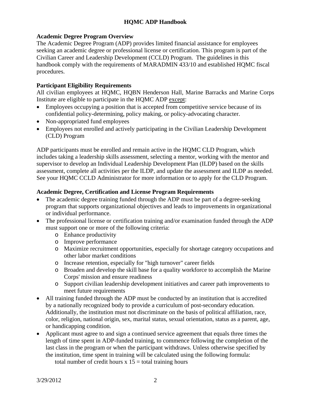## **Academic Degree Program Overview**

The Academic Degree Program (ADP) provides limited financial assistance for employees seeking an academic degree or professional license or certification. This program is part of the Civilian Career and Leadership Development (CCLD) Program. The guidelines in this handbook comply with the requirements of MARADMIN 433/10 and established HQMC fiscal procedures.

#### **Participant Eligibility Requirements**

All civilian employees at HQMC, HQBN Henderson Hall, Marine Barracks and Marine Corps Institute are eligible to participate in the HQMC ADP except:

- Employees occupying a position that is accepted from competitive service because of its confidential policy-determining, policy making, or policy-advocating character.
- Non-appropriated fund employees
- Employees not enrolled and actively participating in the Civilian Leadership Development (CLD) Program

ADP participants must be enrolled and remain active in the HQMC CLD Program, which includes taking a leadership skills assessment, selecting a mentor, working with the mentor and supervisor to develop an Individual Leadership Development Plan (ILDP) based on the skills assessment, complete all activities per the ILDP, and update the assessment and ILDP as needed. See your HQMC CCLD Administrator for more information or to apply for the CLD Program.

#### **Academic Degree, Certification and License Program Requirements**

- The academic degree training funded through the ADP must be part of a degree-seeking program that supports organizational objectives and leads to improvements in organizational or individual performance.
- The professional license or certification training and/or examination funded through the ADP must support one or more of the following criteria:
	- o Enhance productivity
	- o Improve performance
	- o Maximize recruitment opportunities, especially for shortage category occupations and other labor market conditions
	- o Increase retention, especially for "high turnover" career fields
	- o Broaden and develop the skill base for a quality workforce to accomplish the Marine Corps' mission and ensure readiness
	- o Support civilian leadership development initiatives and career path improvements to meet future requirements
- All training funded through the ADP must be conducted by an institution that is accredited by a nationally recognized body to provide a curriculum of post-secondary education. Additionally, the institution must not discriminate on the basis of political affiliation, race, color, religion, national origin, sex, marital status, sexual orientation, status as a parent, age, or handicapping condition.
- Applicant must agree to and sign a continued service agreement that equals three times the length of time spent in ADP-funded training, to commence following the completion of the last class in the program or when the participant withdraws. Unless otherwise specified by the institution, time spent in training will be calculated using the following formula: total number of credit hours  $x 15 =$  total training hours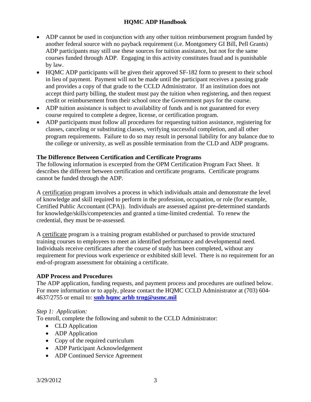- ADP cannot be used in conjunction with any other tuition reimbursement program funded by another federal source with no payback requirement (i.e. Montgomery GI Bill, Pell Grants) ADP participants may still use these sources for tuition assistance, but not for the same courses funded through ADP. Engaging in this activity constitutes fraud and is punishable by law.
- HOMC ADP participants will be given their approved SF-182 form to present to their school in lieu of payment. Payment will not be made until the participant receives a passing grade and provides a copy of that grade to the CCLD Administrator. If an institution does not accept third party billing, the student must pay the tuition when registering, and then request credit or reimbursement from their school once the Government pays for the course.
- ADP tuition assistance is subject to availability of funds and is not guaranteed for every course required to complete a degree, license, or certification program.
- ADP participants must follow all procedures for requesting tuition assistance, registering for classes, canceling or substituting classes, verifying successful completion, and all other program requirements. Failure to do so may result in personal liability for any balance due to the college or university, as well as possible termination from the CLD and ADP programs.

## **The Difference Between Certification and Certificate Programs**

The following information is excerpted from the OPM Certification Program Fact Sheet. It describes the different between certification and certificate programs. Certificate programs cannot be funded through the ADP.

A certification program involves a process in which individuals attain and demonstrate the level of knowledge and skill required to perform in the profession, occupation, or role (for example, Certified Public Accountant (CPA)). Individuals are assessed against pre-determined standards for knowledge/skills/competencies and granted a time-limited credential. To renew the credential, they must be re-assessed.

A certificate program is a training program established or purchased to provide structured training courses to employees to meet an identified performance and developmental need. Individuals receive certificates after the course of study has been completed, without any requirement for previous work experience or exhibited skill level. There is no requirement for an end-of-program assessment for obtaining a certificate.

#### **ADP Process and Procedures**

The ADP application, funding requests, and payment process and procedures are outlined below. For more information or to apply, please contact the HQMC CCLD Administrator at (703) 604- 4637/2755 or email to: **[smb hqmc arhb trng@usmc.mil](mailto:smb%20hqmc%20arhb%20trng@usmc.mil)** 

## *Step 1: Application:*

To enroll, complete the following and submit to the CCLD Administrator:

- CLD Application
- ADP Application
- Copy of the required curriculum
- ADP Participant Acknowledgement
- ADP Continued Service Agreement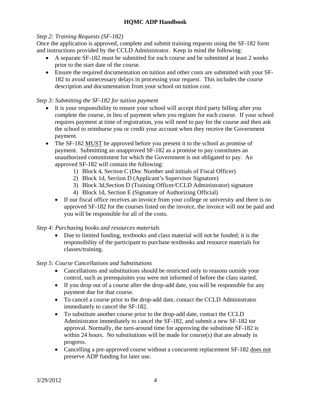#### *Step 2: Training Requests (SF-182)*

Once the application is approved, complete and submit training requests using the SF-182 form and instructions provided by the CCLD Administrator. Keep in mind the following:

- A separate SF-182 must be submitted for each course and be submitted at least 2 weeks prior to the start date of the course.
- Ensure the required documentation on tuition and other costs are submitted with your SF-182 to avoid unnecessary delays in processing your request. This includes the course description and documentation from your school on tuition cost.

#### *Step 3: Submitting the SF-182 for tuition payment*

- It is your responsibility to ensure your school will accept third party billing after you complete the course, in lieu of payment when you register for each course. If your school requires payment at time of registration, you will need to pay for the course and then ask the school to reimburse you or credit your account when they receive the Government payment.
- The SF-182 MUST be approved before you present it to the school as promise of payment. Submitting an unapproved SF-182 as a promise to pay constitutes an unauthorized commitment for which the Government is not obligated to pay. An approved SF-182 will contain the following:
	- 1) Block 4, Section C (Doc Number and initials of Fiscal Officer)
	- 2) Block 1d, Section D (Applicant's Supervisor Signature)
	- 3) Block 3d,Section D (Training Officer/CCLD Administrator) signature
	- 4) Block 1d, Section E (Signature of Authorizing Official)
	- If our fiscal office receives an invoice from your college or university and there is no approved SF-182 for the courses listed on the invoice, the invoice will not be paid and you will be responsible for all of the costs.

## *Step 4: Purchasing books and resources materials*

• Due to limited funding, textbooks and class material will not be funded; it is the responsibility of the participant to purchase textbooks and resource materials for classes/training.

#### *Step 5: Course Cancellations and Substitutions*

- Cancellations and substitutions should be restricted only to reasons outside your control, such as prerequisites you were not informed of before the class started.
- If you drop out of a course after the drop-add date, you will be responsible for any payment due for that course.
- To cancel a course prior to the drop-add date, contact the CCLD Administrator immediately to cancel the SF-182.
- To substitute another course prior to the drop-add date, contact the CCLD Administrator immediately to cancel the SF-182, and submit a new SF-182 tor approval. Normally, the turn-around time for approving the substitute SF-182 is within 24 hours. No substitutions will be made for course(s) that are already in progress.
- Cancelling a pre-approved course without a concurrent replacement SF-182 does not preserve ADP funding for later use.